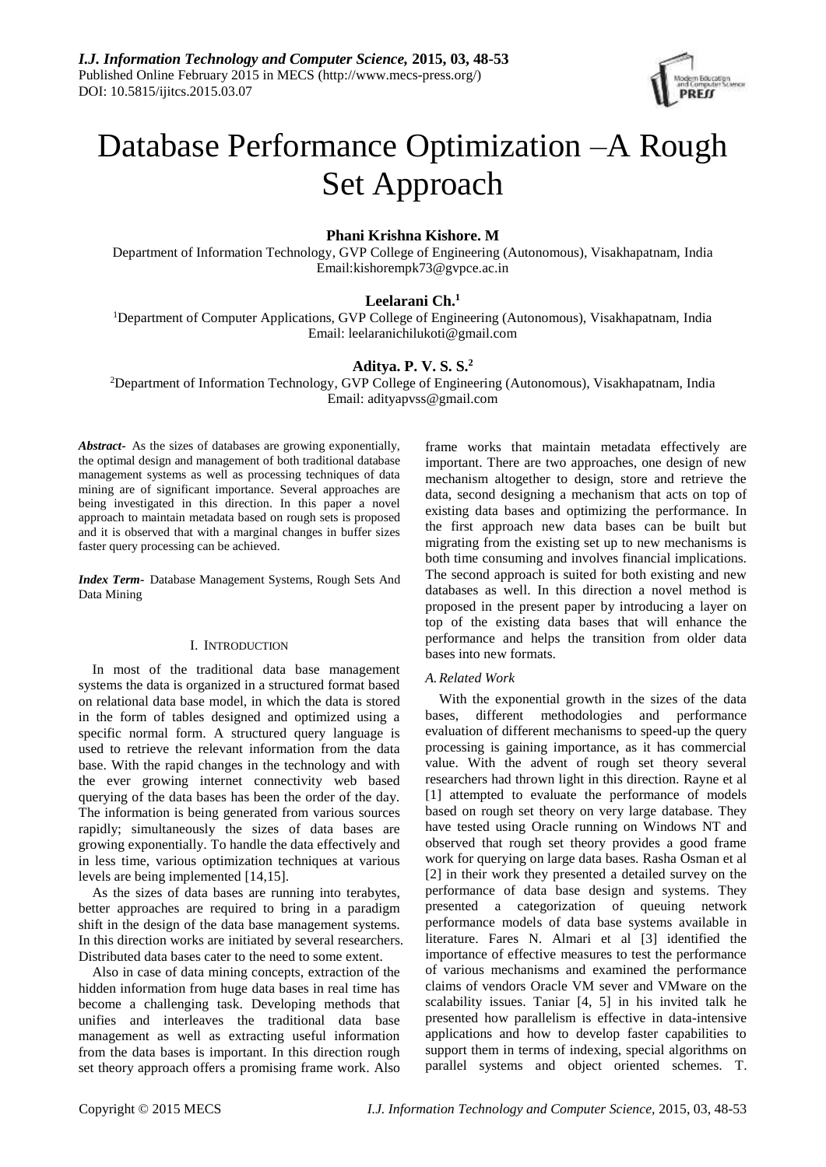

# Database Performance Optimization –A Rough Set Approach

# **Phani Krishna Kishore. M**

Department of Information Technology, GVP College of Engineering (Autonomous), Visakhapatnam, India Email:kishorempk73@gvpce.ac.in

# **Leelarani Ch.<sup>1</sup>**

<sup>1</sup>Department of Computer Applications, GVP College of Engineering (Autonomous), Visakhapatnam, India Email: [leelaranichilukoti@gmail.com](mailto:leelaranichilukoti@gmail.com)

# **Aditya. P. V. S. S.<sup>2</sup>**

<sup>2</sup>Department of Information Technology, GVP College of Engineering (Autonomous), Visakhapatnam, India Email: adityapvss@gmail.com

*Abstract***-** As the sizes of databases are growing exponentially, the optimal design and management of both traditional database management systems as well as processing techniques of data mining are of significant importance. Several approaches are being investigated in this direction. In this paper a novel approach to maintain metadata based on rough sets is proposed and it is observed that with a marginal changes in buffer sizes faster query processing can be achieved.

*Index Term***-** Database Management Systems, Rough Sets And Data Mining

# I. INTRODUCTION

In most of the traditional data base management systems the data is organized in a structured format based on relational data base model, in which the data is stored in the form of tables designed and optimized using a specific normal form. A structured query language is used to retrieve the relevant information from the data base. With the rapid changes in the technology and with the ever growing internet connectivity web based querying of the data bases has been the order of the day. The information is being generated from various sources rapidly; simultaneously the sizes of data bases are growing exponentially. To handle the data effectively and in less time, various optimization techniques at various levels are being implemented [14,15].

As the sizes of data bases are running into terabytes, better approaches are required to bring in a paradigm shift in the design of the data base management systems. In this direction works are initiated by several researchers. Distributed data bases cater to the need to some extent.

Also in case of data mining concepts, extraction of the hidden information from huge data bases in real time has become a challenging task. Developing methods that unifies and interleaves the traditional data base management as well as extracting useful information from the data bases is important. In this direction rough set theory approach offers a promising frame work. Also

frame works that maintain metadata effectively are important. There are two approaches, one design of new mechanism altogether to design, store and retrieve the data, second designing a mechanism that acts on top of existing data bases and optimizing the performance. In the first approach new data bases can be built but migrating from the existing set up to new mechanisms is both time consuming and involves financial implications. The second approach is suited for both existing and new databases as well. In this direction a novel method is proposed in the present paper by introducing a layer on top of the existing data bases that will enhance the performance and helps the transition from older data bases into new formats.

# *A.Related Work*

With the exponential growth in the sizes of the data bases, different methodologies and performance evaluation of different mechanisms to speed-up the query processing is gaining importance, as it has commercial value. With the advent of rough set theory several researchers had thrown light in this direction. Rayne et al [1] attempted to evaluate the performance of models based on rough set theory on very large database. They have tested using Oracle running on Windows NT and observed that rough set theory provides a good frame work for querying on large data bases. Rasha Osman et al [2] in their work they presented a detailed survey on the performance of data base design and systems. They presented a categorization of queuing network performance models of data base systems available in literature. Fares N. Almari et al [3] identified the importance of effective measures to test the performance of various mechanisms and examined the performance claims of vendors Oracle VM sever and VMware on the scalability issues. Taniar [4, 5] in his invited talk he presented how parallelism is effective in data-intensive applications and how to develop faster capabilities to support them in terms of indexing, special algorithms on parallel systems and object oriented schemes. T.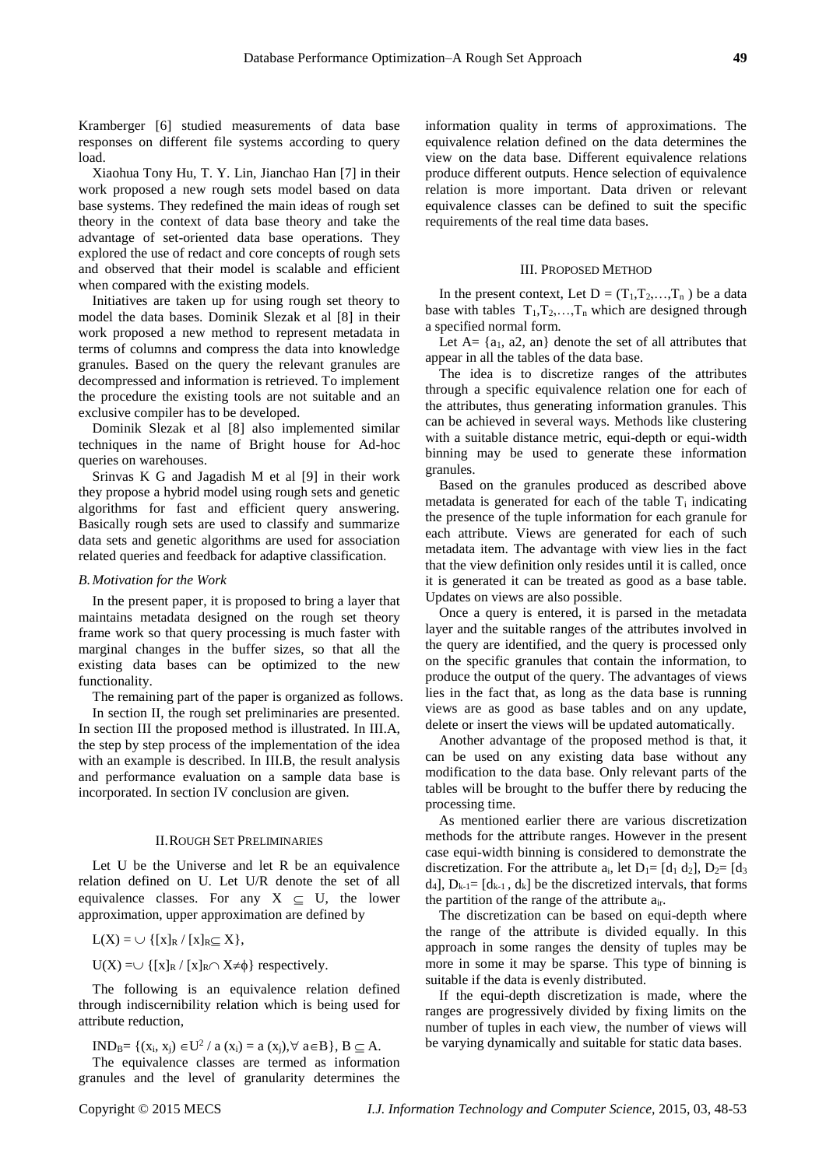Kramberger [6] studied measurements of data base responses on different file systems according to query load.

Xiaohua Tony Hu, T. Y. Lin, Jianchao Han [7] in their work proposed a new rough sets model based on data base systems. They redefined the main ideas of rough set theory in the context of data base theory and take the advantage of set-oriented data base operations. They explored the use of redact and core concepts of rough sets and observed that their model is scalable and efficient when compared with the existing models.

Initiatives are taken up for using rough set theory to model the data bases. Dominik Slezak et al [8] in their work proposed a new method to represent metadata in terms of columns and compress the data into knowledge granules. Based on the query the relevant granules are decompressed and information is retrieved. To implement the procedure the existing tools are not suitable and an exclusive compiler has to be developed.

Dominik Slezak et al [8] also implemented similar techniques in the name of Bright house for Ad-hoc queries on warehouses.

Srinvas K G and Jagadish M et al [9] in their work they propose a hybrid model using rough sets and genetic algorithms for fast and efficient query answering. Basically rough sets are used to classify and summarize data sets and genetic algorithms are used for association related queries and feedback for adaptive classification.

#### *B.Motivation for the Work*

In the present paper, it is proposed to bring a layer that maintains metadata designed on the rough set theory frame work so that query processing is much faster with marginal changes in the buffer sizes, so that all the existing data bases can be optimized to the new functionality.

The remaining part of the paper is organized as follows.

In section II, the rough set preliminaries are presented. In section III the proposed method is illustrated. In III.A, the step by step process of the implementation of the idea with an example is described. In III.B, the result analysis and performance evaluation on a sample data base is incorporated. In section IV conclusion are given.

## II.ROUGH SET PRELIMINARIES

Let U be the Universe and let R be an equivalence relation defined on U. Let U/R denote the set of all equivalence classes. For any  $X \subset U$ , the lower approximation, upper approximation are defined by

# $L(X) = \bigcup \{ [x]_R / [x]_R \subseteq X \},$

 $U(X) = \bigcup \{ [x]_R / [x]_R \cap X \neq \emptyset \}$  respectively.

The following is an equivalence relation defined through indiscernibility relation which is being used for attribute reduction,

IND<sub>B</sub>= {(x<sub>i</sub>, x<sub>j</sub>)  $\in$  U<sup>2</sup> / a (x<sub>i</sub>) = a (x<sub>j</sub>),  $\forall$  a $\in$  B }, B  $\subseteq$  A. The equivalence classes are termed as information granules and the level of granularity determines the information quality in terms of approximations. The equivalence relation defined on the data determines the view on the data base. Different equivalence relations produce different outputs. Hence selection of equivalence relation is more important. Data driven or relevant equivalence classes can be defined to suit the specific requirements of the real time data bases.

## III. PROPOSED METHOD

In the present context, Let  $D = (T_1, T_2, \ldots, T_n)$  be a data base with tables  $T_1, T_2, \ldots, T_n$  which are designed through a specified normal form.

Let  $A = \{a_1, a_2, a_3\}$  denote the set of all attributes that appear in all the tables of the data base.

The idea is to discretize ranges of the attributes through a specific equivalence relation one for each of the attributes, thus generating information granules. This can be achieved in several ways. Methods like clustering with a suitable distance metric, equi-depth or equi-width binning may be used to generate these information granules.

Based on the granules produced as described above metadata is generated for each of the table  $T_i$  indicating the presence of the tuple information for each granule for each attribute. Views are generated for each of such metadata item. The advantage with view lies in the fact that the view definition only resides until it is called, once it is generated it can be treated as good as a base table. Updates on views are also possible.

Once a query is entered, it is parsed in the metadata layer and the suitable ranges of the attributes involved in the query are identified, and the query is processed only on the specific granules that contain the information, to produce the output of the query. The advantages of views lies in the fact that, as long as the data base is running views are as good as base tables and on any update, delete or insert the views will be updated automatically.

Another advantage of the proposed method is that, it can be used on any existing data base without any modification to the data base. Only relevant parts of the tables will be brought to the buffer there by reducing the processing time.

As mentioned earlier there are various discretization methods for the attribute ranges. However in the present case equi-width binning is considered to demonstrate the discretization. For the attribute  $a_i$ , let  $D_1 = [d_1 d_2]$ ,  $D_2 = [d_3]$  $d_4$ ],  $D_{k-1}$ =  $[d_{k-1}, d_k]$  be the discretized intervals, that forms the partition of the range of the attribute air.

The discretization can be based on equi-depth where the range of the attribute is divided equally. In this approach in some ranges the density of tuples may be more in some it may be sparse. This type of binning is suitable if the data is evenly distributed.

If the equi-depth discretization is made, where the ranges are progressively divided by fixing limits on the number of tuples in each view, the number of views will be varying dynamically and suitable for static data bases.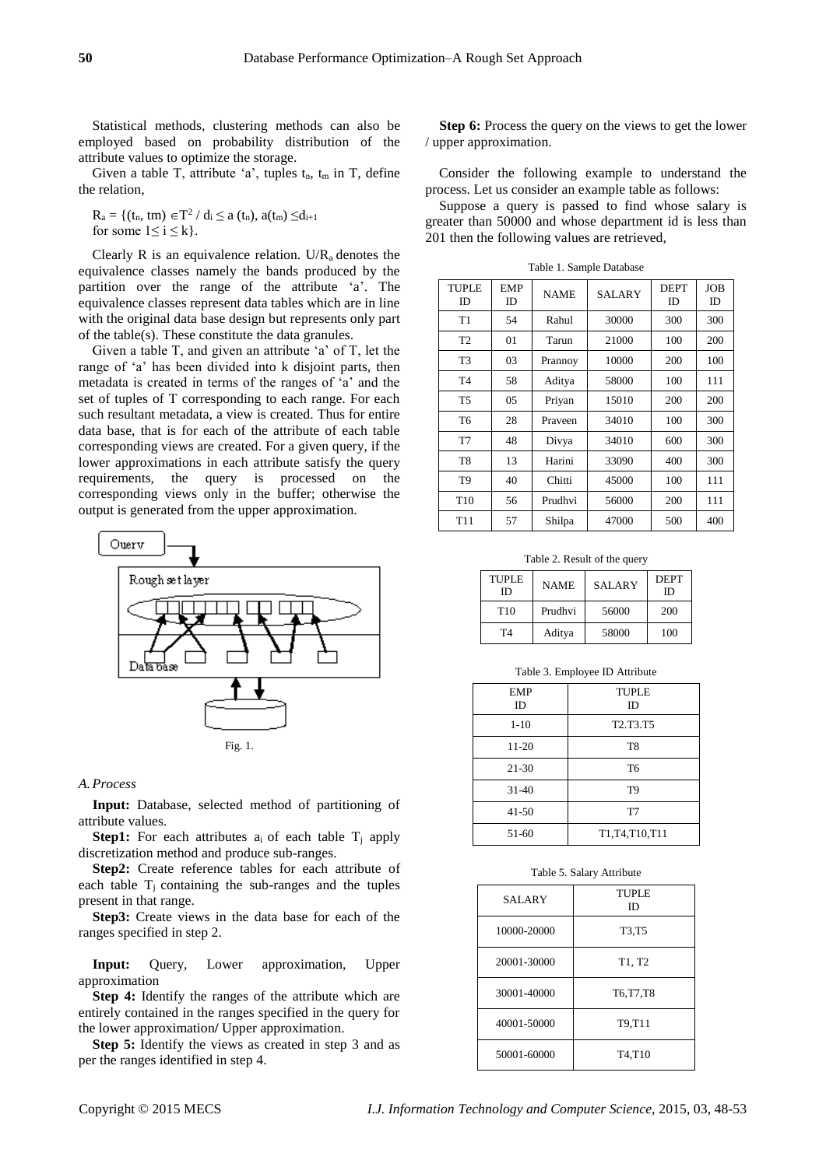Statistical methods, clustering methods can also be employed based on probability distribution of the attribute values to optimize the storage.

Given a table T, attribute 'a', tuples  $t_n$ ,  $t_m$  in T, define the relation,

 $R_a = \{(t_n, tm) \in T^2 / d_i \le a (t_n), a(t_m) \le d_{i+1}\}$ for some  $1 \le i \le k$ .

Clearly R is an equivalence relation. U/ $R_a$  denotes the equivalence classes namely the bands produced by the partition over the range of the attribute 'a'. The equivalence classes represent data tables which are in line with the original data base design but represents only part of the table(s). These constitute the data granules.

Given a table T, and given an attribute 'a' of T, let the range of 'a' has been divided into k disjoint parts, then metadata is created in terms of the ranges of 'a' and the set of tuples of T corresponding to each range. For each such resultant metadata, a view is created. Thus for entire data base, that is for each of the attribute of each table corresponding views are created. For a given query, if the lower approximations in each attribute satisfy the query requirements, the query is processed on the corresponding views only in the buffer; otherwise the output is generated from the upper approximation.



#### *A.Process*

**Input:** Database, selected method of partitioning of attribute values.

**Step1:** For each attributes  $a_i$  of each table  $T_i$  apply discretization method and produce sub-ranges.

**Step2:** Create reference tables for each attribute of each table  $T_i$  containing the sub-ranges and the tuples present in that range.

**Step3:** Create views in the data base for each of the ranges specified in step 2.

**Input:** Query, Lower approximation, Upper approximation

**Step 4:** Identify the ranges of the attribute which are entirely contained in the ranges specified in the query for the lower approximation**/** Upper approximation.

**Step 5:** Identify the views as created in step 3 and as per the ranges identified in step 4.

**Step 6:** Process the query on the views to get the lower / upper approximation.

Consider the following example to understand the process. Let us consider an example table as follows:

Suppose a query is passed to find whose salary is greater than 50000 and whose department id is less than 201 then the following values are retrieved,

| <b>TUPLE</b><br>ID | <b>EMP</b><br>ID | <b>NAME</b> | <b>SALARY</b> | <b>DEPT</b><br>ID | <b>JOB</b><br>ID |
|--------------------|------------------|-------------|---------------|-------------------|------------------|
| T1                 | 54               | Rahul       | 30000         | 300               | 300              |
| T2                 | 01               | Tarun       | 21000         | 100               | 200              |
| T <sub>3</sub>     | 03               | Prannoy     | 10000         | 200               | 100              |
| T <sub>4</sub>     | 58               | Aditya      | 58000         | 100               | 111              |
| T <sub>5</sub>     | 05               | Priyan      | 15010         | 200               | 200              |
| T6                 | 28               | Prayeen     | 34010         | 100               | 300              |
| T7                 | 48               | Divya       | 34010         | 600               | 300              |
| T <sub>8</sub>     | 13               | Harini      | 33090         | 400               | 300              |
| T <sub>9</sub>     | 40               | Chitti      | 45000         | 100               | 111              |
| T <sub>10</sub>    | 56               | Prudhvi     | 56000         | 200               | 111              |
| T <sub>11</sub>    | 57               | Shilpa      | 47000         | 500               | 400              |

Table 1. Sample Database

Table 2. Result of the query

| <b>TUPLE</b><br>ID | <b>NAME</b> | <b>SALARY</b> | <b>DEPT</b><br>ID |
|--------------------|-------------|---------------|-------------------|
| T <sub>10</sub>    | Prudhvi     | 56000         | 200               |
| T4                 | Aditya      | 58000         | 100               |

Table 3. Employee ID Attribute

| <b>EMP</b><br>ID | <b>TUPLE</b><br>ID                             |
|------------------|------------------------------------------------|
| $1 - 10$         | T <sub>2</sub> .T <sub>3</sub> .T <sub>5</sub> |
| $11 - 20$        | T <sub>8</sub>                                 |
| 21-30            | T <sub>6</sub>                                 |
| $31 - 40$        | T <sub>9</sub>                                 |
| $41 - 50$        | T7                                             |
| 51-60            | T1, T4, T10, T11                               |

#### Table 5. Salary Attribute

| <b>SALARY</b> | <b>TUPLE</b><br>ID              |
|---------------|---------------------------------|
| 10000-20000   | T3,T5                           |
| 20001-30000   | T1, T2                          |
| 30001-40000   | T6, T7, T8                      |
| 40001-50000   | T9,T11                          |
| 50001-60000   | T <sub>4</sub> .T <sub>10</sub> |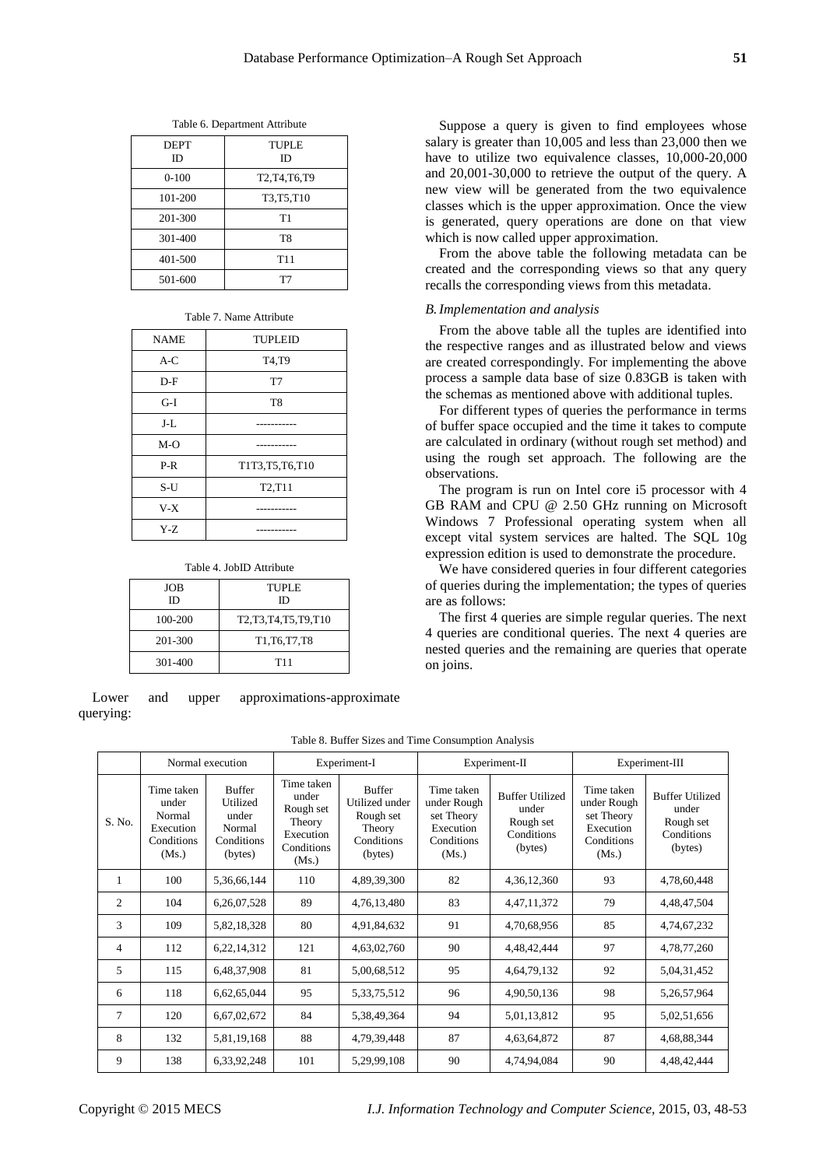| <b>DEPT</b><br>ID | TUPLE<br>ID     |
|-------------------|-----------------|
| $0 - 100$         | T2, T4, T6, T9  |
| 101-200           | T3, T5, T10     |
| 201-300           | T1              |
| 301-400           | T <sub>8</sub>  |
| 401-500           | T <sub>11</sub> |
| 501-600           |                 |

Table 6. Department Attribute

#### Table 7. Name Attribute

| <b>NAME</b> | <b>TUPLEID</b>                   |  |  |
|-------------|----------------------------------|--|--|
| $A-C$       | T4,T9                            |  |  |
| $D-F$       | T7                               |  |  |
| $G-I$       | T <sub>8</sub>                   |  |  |
| J-L         |                                  |  |  |
| $M-O$       |                                  |  |  |
| $P-R$       | T1T3, T5, T6, T10                |  |  |
| $S-U$       | T <sub>2</sub> , T <sub>11</sub> |  |  |
| $V-X$       |                                  |  |  |
| $Y-Z$       |                                  |  |  |

### Table 4. JobID Attribute

| <b>JOB</b><br>ID | <b>TUPLE</b><br>ID |
|------------------|--------------------|
| 100-200          | T2,T3,T4,T5,T9,T10 |
| 201-300          | T1, T6, T7, T8     |
| 301-400          | T <sub>11</sub>    |

Lower and upper approximations-approximate querying:

Suppose a query is given to find employees whose salary is greater than 10,005 and less than 23,000 then we have to utilize two equivalence classes, 10,000-20,000 and 20,001-30,000 to retrieve the output of the query. A new view will be generated from the two equivalence classes which is the upper approximation. Once the view is generated, query operations are done on that view which is now called upper approximation.

From the above table the following metadata can be created and the corresponding views so that any query recalls the corresponding views from this metadata.

## *B.Implementation and analysis*

From the above table all the tuples are identified into the respective ranges and as illustrated below and views are created correspondingly. For implementing the above process a sample data base of size 0.83GB is taken with the schemas as mentioned above with additional tuples.

For different types of queries the performance in terms of buffer space occupied and the time it takes to compute are calculated in ordinary (without rough set method) and using the rough set approach. The following are the observations.

The program is run on Intel core i5 processor with 4 GB RAM and CPU @ 2.50 GHz running on Microsoft Windows 7 Professional operating system when all except vital system services are halted. The SQL 10g expression edition is used to demonstrate the procedure.

We have considered queries in four different categories of queries during the implementation; the types of queries are as follows:

The first 4 queries are simple regular queries. The next 4 queries are conditional queries. The next 4 queries are nested queries and the remaining are queries that operate on joins.

# Table 8. Buffer Sizes and Time Consumption Analysis

|                | Normal execution                                                  |                                                                       | Experiment-I                                                                   |                                                                                 | Experiment-II                                                               |                                                                       | Experiment-III                                                              |                                                                       |
|----------------|-------------------------------------------------------------------|-----------------------------------------------------------------------|--------------------------------------------------------------------------------|---------------------------------------------------------------------------------|-----------------------------------------------------------------------------|-----------------------------------------------------------------------|-----------------------------------------------------------------------------|-----------------------------------------------------------------------|
| S. No.         | Time taken<br>under<br>Normal<br>Execution<br>Conditions<br>(Ms.) | <b>Buffer</b><br>Utilized<br>under<br>Normal<br>Conditions<br>(bytes) | Time taken<br>under<br>Rough set<br>Theory<br>Execution<br>Conditions<br>(Ms.) | <b>Buffer</b><br>Utilized under<br>Rough set<br>Theory<br>Conditions<br>(bytes) | Time taken<br>under Rough<br>set Theory<br>Execution<br>Conditions<br>(Ms.) | <b>Buffer Utilized</b><br>under<br>Rough set<br>Conditions<br>(bytes) | Time taken<br>under Rough<br>set Theory<br>Execution<br>Conditions<br>(Ms.) | <b>Buffer Utilized</b><br>under<br>Rough set<br>Conditions<br>(bytes) |
| 1              | 100                                                               | 5,36,66,144                                                           | 110                                                                            | 4,89,39,300                                                                     | 82                                                                          | 4,36,12,360                                                           | 93                                                                          | 4,78,60,448                                                           |
| 2              | 104                                                               | 6,26,07,528                                                           | 89                                                                             | 4,76,13,480                                                                     | 83                                                                          | 4,47,11,372                                                           | 79                                                                          | 4,48,47,504                                                           |
| 3              | 109                                                               | 5,82,18,328                                                           | 80                                                                             | 4,91,84,632                                                                     | 91                                                                          | 4,70,68,956                                                           | 85                                                                          | 4,74,67,232                                                           |
| $\overline{4}$ | 112                                                               | 6,22,14,312                                                           | 121                                                                            | 4,63,02,760                                                                     | 90                                                                          | 4,48,42,444                                                           | 97                                                                          | 4,78,77,260                                                           |
| 5              | 115                                                               | 6,48,37,908                                                           | 81                                                                             | 5,00,68,512                                                                     | 95                                                                          | 4,64,79,132                                                           | 92                                                                          | 5,04,31,452                                                           |
| 6              | 118                                                               | 6,62,65,044                                                           | 95                                                                             | 5, 33, 75, 512                                                                  | 96                                                                          | 4,90,50,136                                                           | 98                                                                          | 5,26,57,964                                                           |
| $\overline{7}$ | 120                                                               | 6,67,02,672                                                           | 84                                                                             | 5,38,49,364                                                                     | 94                                                                          | 5,01,13,812                                                           | 95                                                                          | 5,02,51,656                                                           |
| 8              | 132                                                               | 5,81,19,168                                                           | 88                                                                             | 4,79,39,448                                                                     | 87                                                                          | 4,63,64,872                                                           | 87                                                                          | 4,68,88,344                                                           |
| 9              | 138                                                               | 6,33,92,248                                                           | 101                                                                            | 5,29,99,108                                                                     | 90                                                                          | 4,74,94,084                                                           | 90                                                                          | 4,48,42,444                                                           |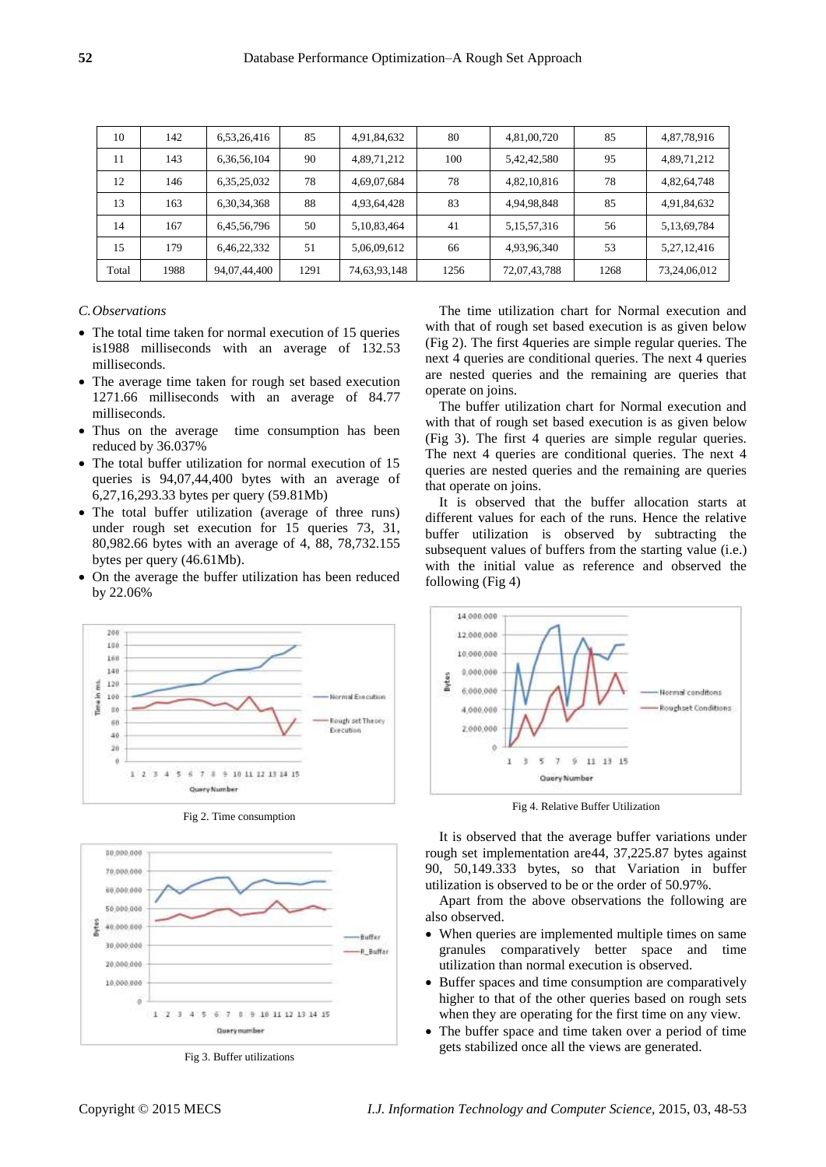| 10    | 142  | 6,53,26,416    | 85   | 4,91,84,632    | 80   | 4,81,00,720    | 85   | 4,87,78,916  |
|-------|------|----------------|------|----------------|------|----------------|------|--------------|
| 11    | 143  | 6, 36, 56, 104 | 90   | 4,89,71,212    | 100  | 5,42,42,580    | 95   | 4,89,71,212  |
| 12    | 146  | 6,35,25,032    | 78   | 4,69,07,684    | 78   | 4,82,10,816    | 78   | 4,82,64,748  |
| 13    | 163  | 6, 30, 34, 368 | 88   | 4,93,64,428    | 83   | 4,94,98,848    | 85   | 4,91,84,632  |
| 14    | 167  | 6,45,56,796    | 50   | 5, 10, 83, 464 | 41   | 5, 15, 57, 316 | 56   | 5,13,69,784  |
| 15    | 179  | 6,46,22,332    | 51   | 5,06,09,612    | 66   | 4,93,96,340    | 53   | 5,27,12,416  |
| Total | 1988 | 94,07,44,400   | 1291 | 74,63,93,148   | 1256 | 72,07,43,788   | 1268 | 73,24,06,012 |

# *C.Observations*

206

 $181$ 

 $160$ 

 $140$ 

 $121$ Time in ms.

100

 $10$ 

 $\tilde{\sigma}$ 

 $\overline{46}$ 

 $20$  $\theta$ 

 $\ddot{\phantom{1}}$ 

- The total time taken for normal execution of 15 queries is1988 milliseconds with an average of 132.53 milliseconds.
- The average time taken for rough set based execution 1271.66 milliseconds with an average of 84.77 milliseconds.
- Thus on the average time consumption has been reduced by 36.037%
- The total buffer utilization for normal execution of 15 queries is 94,07,44,400 bytes with an average of 6,27,16,293.33 bytes per query (59.81Mb)
- The total buffer utilization (average of three runs) under rough set execution for 15 queries 73, 31, 80,982.66 bytes with an average of 4, 88, 78,732.155 bytes per query (46.61Mb).
- On the average the buffer utilization has been reduced by 22.06%

formal Execution

Rough set Theory

The time utilization chart for Normal execution and with that of rough set based execution is as given below (Fig 2). The first 4queries are simple regular queries. The next 4 queries are conditional queries. The next 4 queries are nested queries and the remaining are queries that operate on joins.

The buffer utilization chart for Normal execution and with that of rough set based execution is as given below (Fig 3). The first 4 queries are simple regular queries. The next 4 queries are conditional queries. The next 4 queries are nested queries and the remaining are queries that operate on joins.

It is observed that the buffer allocation starts at different values for each of the runs. Hence the relative buffer utilization is observed by subtracting the subsequent values of buffers from the starting value (i.e.) with the initial value as reference and observed the following (Fig 4)



Fig 4. Relative Buffer Utilization

It is observed that the average buffer variations under rough set implementation are44, 37,225.87 bytes against 90, 50,149.333 bytes, so that Variation in buffer utilization is observed to be or the order of 50.97%.

Apart from the above observations the following are also observed.

- When queries are implemented multiple times on same granules comparatively better space and time utilization than normal execution is observed.
- Buffer spaces and time consumption are comparatively higher to that of the other queries based on rough sets when they are operating for the first time on any view.
- The buffer space and time taken over a period of time gets stabilized once all the views are generated.

Fig 2. Time consumption

9 10 11 12 13 14 15



Fig 3. Buffer utilizations